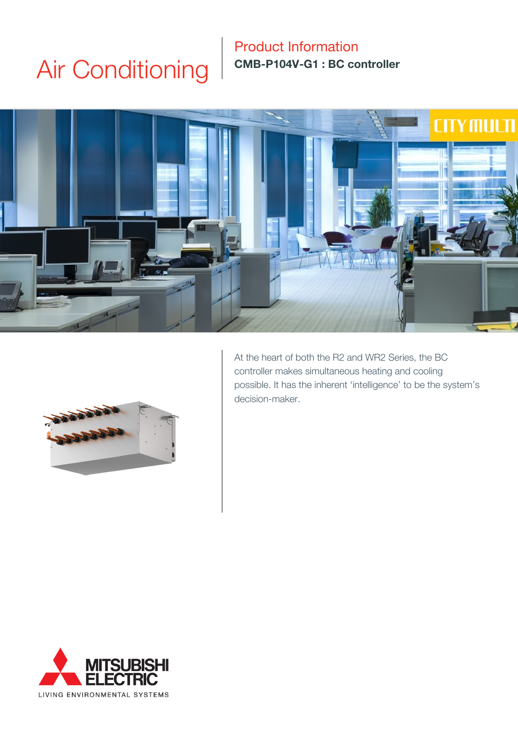# Air Conditioning

## Product Information **CMB-P104V-G1 : BC controller**





At the heart of both the R2 and WR2 Series, the BC controller makes simultaneous heating and cooling possible. It has the inherent 'intelligence' to be the system's decision-maker.